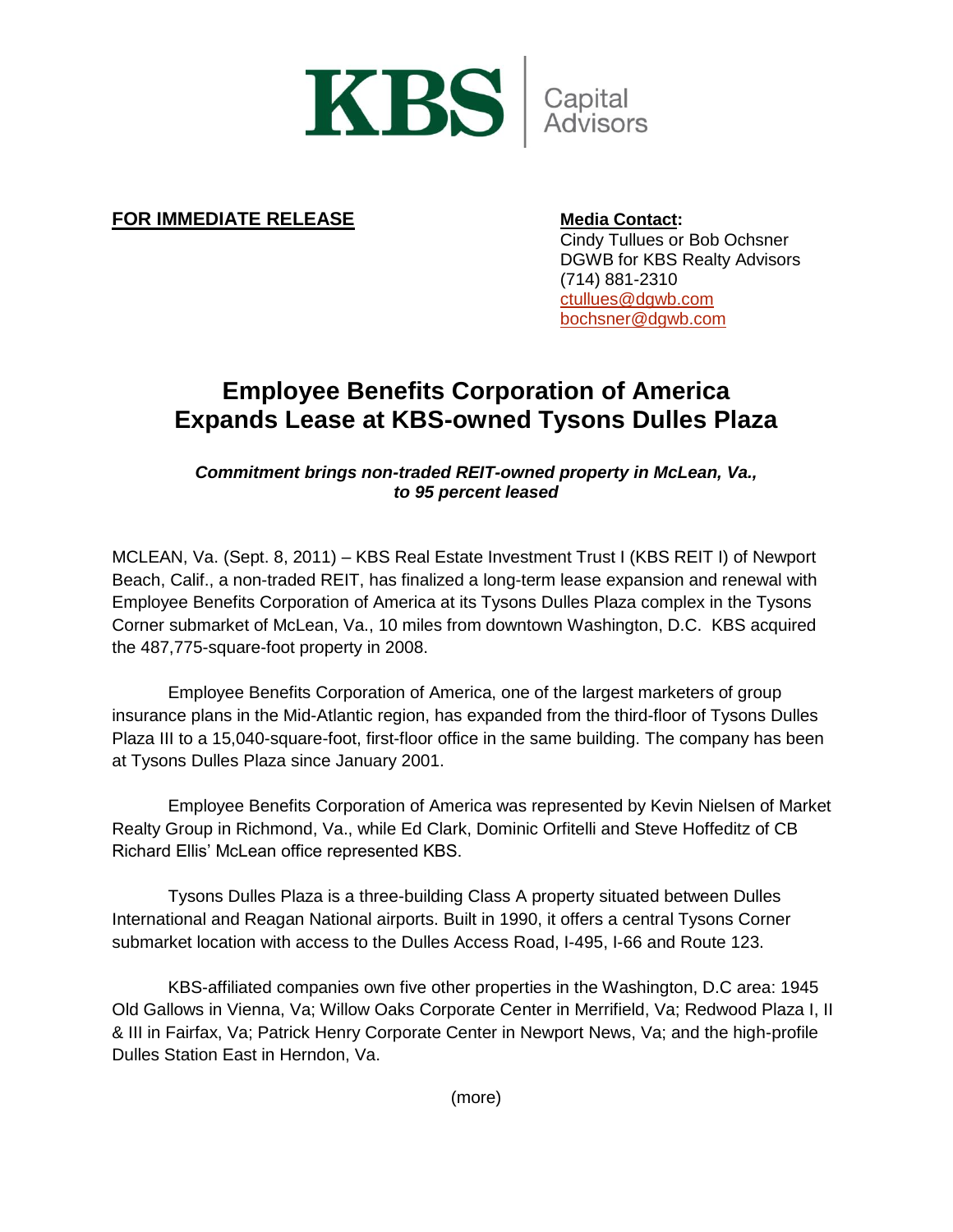

## **FOR IMMEDIATE RELEASE Media Contact:**

Cindy Tullues or Bob Ochsner DGWB for KBS Realty Advisors (714) 881-2310 [ctullues@dgwb.com](mailto:ctullues@dgwb.com) [bochsner@dgwb.com](mailto:bochsner@dgwb.com)

## **Employee Benefits Corporation of America Expands Lease at KBS-owned Tysons Dulles Plaza**

*Commitment brings non-traded REIT-owned property in McLean, Va., to 95 percent leased*

MCLEAN, Va. (Sept. 8, 2011) – KBS Real Estate Investment Trust I (KBS REIT I) of Newport Beach, Calif., a non-traded REIT, has finalized a long-term lease expansion and renewal with Employee Benefits Corporation of America at its Tysons Dulles Plaza complex in the Tysons Corner submarket of McLean, Va., 10 miles from downtown Washington, D.C. KBS acquired the 487,775-square-foot property in 2008.

Employee Benefits Corporation of America, one of the largest marketers of group insurance plans in the Mid-Atlantic region, has expanded from the third-floor of Tysons Dulles Plaza III to a 15,040-square-foot, first-floor office in the same building. The company has been at Tysons Dulles Plaza since January 2001.

Employee Benefits Corporation of America was represented by Kevin Nielsen of Market Realty Group in Richmond, Va., while Ed Clark, Dominic Orfitelli and Steve Hoffeditz of CB Richard Ellis' McLean office represented KBS.

Tysons Dulles Plaza is a three-building Class A property situated between Dulles International and Reagan National airports. Built in 1990, it offers a central Tysons Corner submarket location with access to the Dulles Access Road, I-495, I-66 and Route 123.

KBS-affiliated companies own five other properties in the Washington, D.C area: 1945 Old Gallows in Vienna, Va; Willow Oaks Corporate Center in Merrifield, Va; Redwood Plaza I, II & III in Fairfax, Va; Patrick Henry Corporate Center in Newport News, Va; and the high-profile Dulles Station East in Herndon, Va.